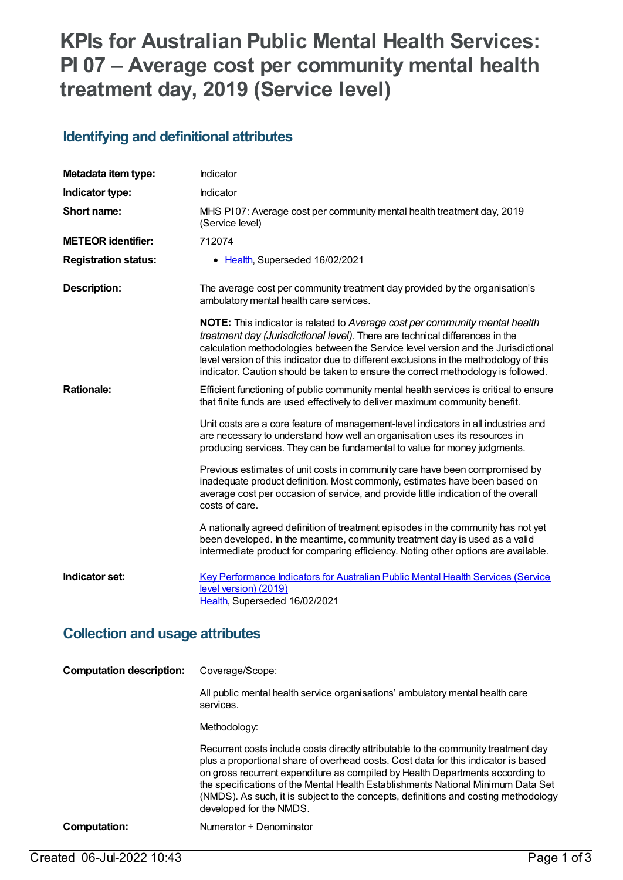# **KPIs for Australian Public Mental Health Services: PI 07 – Average cost per community mental health treatment day, 2019 (Service level)**

#### **Identifying and definitional attributes**

| Metadata item type:                    | Indicator                                                                                                                                                                                                                                                                                                                                                                                                                               |  |
|----------------------------------------|-----------------------------------------------------------------------------------------------------------------------------------------------------------------------------------------------------------------------------------------------------------------------------------------------------------------------------------------------------------------------------------------------------------------------------------------|--|
| Indicator type:                        | Indicator                                                                                                                                                                                                                                                                                                                                                                                                                               |  |
| Short name:                            | MHS PI07: Average cost per community mental health treatment day, 2019<br>(Service level)                                                                                                                                                                                                                                                                                                                                               |  |
| <b>METEOR identifier:</b>              | 712074                                                                                                                                                                                                                                                                                                                                                                                                                                  |  |
| <b>Registration status:</b>            | • Health, Superseded 16/02/2021                                                                                                                                                                                                                                                                                                                                                                                                         |  |
| <b>Description:</b>                    | The average cost per community treatment day provided by the organisation's<br>ambulatory mental health care services.                                                                                                                                                                                                                                                                                                                  |  |
|                                        | <b>NOTE:</b> This indicator is related to Average cost per community mental health<br>treatment day (Jurisdictional level). There are technical differences in the<br>calculation methodologies between the Service level version and the Jurisdictional<br>level version of this indicator due to different exclusions in the methodology of this<br>indicator. Caution should be taken to ensure the correct methodology is followed. |  |
| <b>Rationale:</b>                      | Efficient functioning of public community mental health services is critical to ensure<br>that finite funds are used effectively to deliver maximum community benefit.                                                                                                                                                                                                                                                                  |  |
|                                        | Unit costs are a core feature of management-level indicators in all industries and<br>are necessary to understand how well an organisation uses its resources in<br>producing services. They can be fundamental to value for money judgments.                                                                                                                                                                                           |  |
|                                        | Previous estimates of unit costs in community care have been compromised by<br>inadequate product definition. Most commonly, estimates have been based on<br>average cost per occasion of service, and provide little indication of the overall<br>costs of care.                                                                                                                                                                       |  |
|                                        | A nationally agreed definition of treatment episodes in the community has not yet<br>been developed. In the meantime, community treatment day is used as a valid<br>intermediate product for comparing efficiency. Noting other options are available.                                                                                                                                                                                  |  |
| Indicator set:                         | Key Performance Indicators for Australian Public Mental Health Services (Service<br>level version) (2019)<br>Health, Superseded 16/02/2021                                                                                                                                                                                                                                                                                              |  |
| <b>Collection and usage attributes</b> |                                                                                                                                                                                                                                                                                                                                                                                                                                         |  |
| <b>Computation description:</b>        | Coverage/Scope:                                                                                                                                                                                                                                                                                                                                                                                                                         |  |
|                                        | All public mental health service organisations' ambulatory mental health care<br>services.                                                                                                                                                                                                                                                                                                                                              |  |
|                                        | Methodology:                                                                                                                                                                                                                                                                                                                                                                                                                            |  |

Recurrent costs include costs directly attributable to the community treatment day plus a proportional share of overhead costs. Cost data for this indicator is based on gross recurrent expenditure as compiled by Health Departments according to the specifications of the Mental Health Establishments National Minimum Data Set (NMDS). As such, it is subject to the concepts, definitions and costing methodology developed for the NMDS.

#### **Computation:** Numerator ÷ Denominator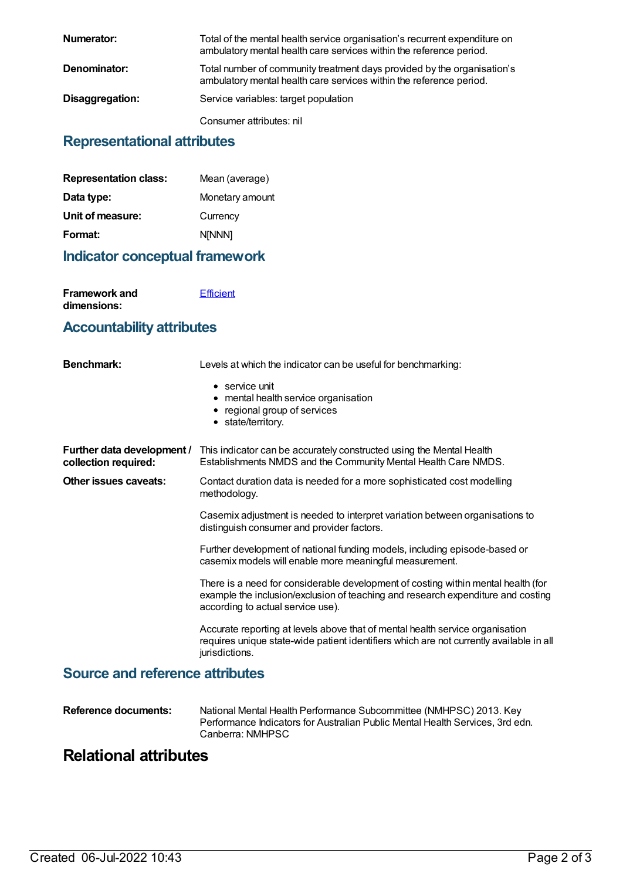| Numerator:      | Total of the mental health service organisation's recurrent expenditure on<br>ambulatory mental health care services within the reference period. |
|-----------------|---------------------------------------------------------------------------------------------------------------------------------------------------|
| Denominator:    | Total number of community treatment days provided by the organisation's<br>ambulatory mental health care services within the reference period.    |
| Disaggregation: | Service variables: target population                                                                                                              |
|                 | Consumer attributes: nil                                                                                                                          |

### **Representational attributes**

| Mean (average)  |
|-----------------|
| Monetary amount |
| Currency        |
| <b>NINNN1</b>   |
|                 |

### **Indicator conceptual framework**

| Framework and | <b>Efficient</b> |
|---------------|------------------|
| dimensions:   |                  |

#### **Accountability attributes**

| <b>Benchmark:</b>                                  | Levels at which the indicator can be useful for benchmarking:                                                                                                                                              |
|----------------------------------------------------|------------------------------------------------------------------------------------------------------------------------------------------------------------------------------------------------------------|
|                                                    | $\bullet$ service unit<br>• mental health service organisation<br>• regional group of services<br>• state/territory.                                                                                       |
| Further data development /<br>collection required: | This indicator can be accurately constructed using the Mental Health<br>Establishments NMDS and the Community Mental Health Care NMDS.                                                                     |
| Other issues caveats:                              | Contact duration data is needed for a more sophisticated cost modelling<br>methodology.                                                                                                                    |
|                                                    | Casemix adjustment is needed to interpret variation between organisations to<br>distinguish consumer and provider factors.                                                                                 |
|                                                    | Further development of national funding models, including episode-based or<br>casemix models will enable more meaningful measurement.                                                                      |
|                                                    | There is a need for considerable development of costing within mental health (for<br>example the inclusion/exclusion of teaching and research expenditure and costing<br>according to actual service use). |
|                                                    | Accurate reporting at levels above that of mental health service organisation<br>requires unique state-wide patient identifiers which are not currently available in all<br>jurisdictions.                 |
| <b>Source and reference attributes</b>             |                                                                                                                                                                                                            |

| National Mental Health Performance Subcommittee (NMHPSC) 2013. Key<br>Performance Indicators for Australian Public Mental Health Services, 3rd edn.<br>Canberra: NMHPSC |
|-------------------------------------------------------------------------------------------------------------------------------------------------------------------------|
|                                                                                                                                                                         |
|                                                                                                                                                                         |

## **Relational attributes**